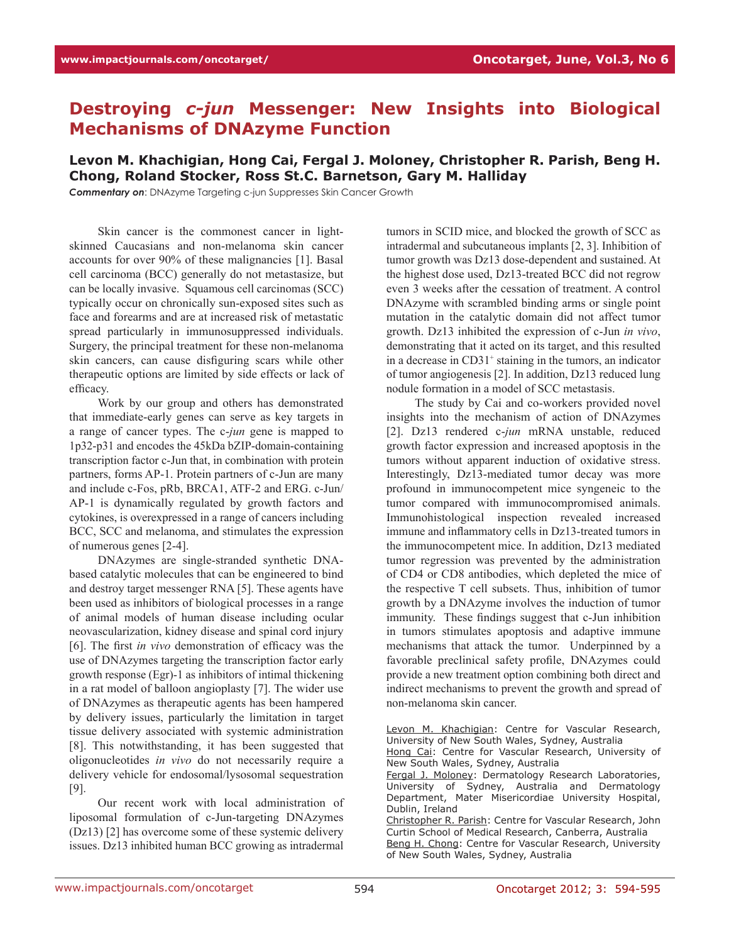## **Destroying** *c-jun* **Messenger: New Insights into Biological Mechanisms of DNAzyme Function**

## **Levon M. Khachigian, Hong Cai, Fergal J. Moloney, Christopher R. Parish, Beng H. Chong, Roland Stocker, Ross St.C. Barnetson, Gary M. Halliday**

*Commentary on*: DNAzyme Targeting c-jun Suppresses Skin Cancer Growth

Skin cancer is the commonest cancer in lightskinned Caucasians and non-melanoma skin cancer accounts for over 90% of these malignancies [1]. Basal cell carcinoma (BCC) generally do not metastasize, but can be locally invasive. Squamous cell carcinomas (SCC) typically occur on chronically sun-exposed sites such as face and forearms and are at increased risk of metastatic spread particularly in immunosuppressed individuals. Surgery, the principal treatment for these non-melanoma skin cancers, can cause disfiguring scars while other therapeutic options are limited by side effects or lack of efficacy.

Work by our group and others has demonstrated that immediate-early genes can serve as key targets in a range of cancer types. The c-*jun* gene is mapped to 1p32-p31 and encodes the 45kDa bZIP-domain-containing transcription factor c-Jun that, in combination with protein partners, forms AP-1. Protein partners of c-Jun are many and include c-Fos, pRb, BRCA1, ATF-2 and ERG. c-Jun/ AP-1 is dynamically regulated by growth factors and cytokines, is overexpressed in a range of cancers including BCC, SCC and melanoma, and stimulates the expression of numerous genes [2-4].

DNAzymes are single-stranded synthetic DNAbased catalytic molecules that can be engineered to bind and destroy target messenger RNA [5]. These agents have been used as inhibitors of biological processes in a range of animal models of human disease including ocular neovascularization, kidney disease and spinal cord injury [6]. The first *in vivo* demonstration of efficacy was the use of DNAzymes targeting the transcription factor early growth response (Egr)-1 as inhibitors of intimal thickening in a rat model of balloon angioplasty [7]. The wider use of DNAzymes as therapeutic agents has been hampered by delivery issues, particularly the limitation in target tissue delivery associated with systemic administration [8]. This notwithstanding, it has been suggested that oligonucleotides *in vivo* do not necessarily require a delivery vehicle for endosomal/lysosomal sequestration [9].

Our recent work with local administration of liposomal formulation of c-Jun-targeting DNAzymes (Dz13) [2] has overcome some of these systemic delivery issues. Dz13 inhibited human BCC growing as intradermal

tumors in SCID mice, and blocked the growth of SCC as intradermal and subcutaneous implants [2, 3]. Inhibition of tumor growth was Dz13 dose-dependent and sustained. At the highest dose used, Dz13-treated BCC did not regrow even 3 weeks after the cessation of treatment. A control DNAzyme with scrambled binding arms or single point mutation in the catalytic domain did not affect tumor growth. Dz13 inhibited the expression of c-Jun *in vivo*, demonstrating that it acted on its target, and this resulted in a decrease in CD31<sup>+</sup> staining in the tumors, an indicator of tumor angiogenesis [2]. In addition, Dz13 reduced lung nodule formation in a model of SCC metastasis.

The study by Cai and co-workers provided novel insights into the mechanism of action of DNAzymes [2]. Dz13 rendered c-*jun* mRNA unstable, reduced growth factor expression and increased apoptosis in the tumors without apparent induction of oxidative stress. Interestingly, Dz13-mediated tumor decay was more profound in immunocompetent mice syngeneic to the tumor compared with immunocompromised animals. Immunohistological inspection revealed increased immune and inflammatory cells in Dz13-treated tumors in the immunocompetent mice. In addition, Dz13 mediated tumor regression was prevented by the administration of CD4 or CD8 antibodies, which depleted the mice of the respective T cell subsets. Thus, inhibition of tumor growth by a DNAzyme involves the induction of tumor immunity. These findings suggest that c-Jun inhibition in tumors stimulates apoptosis and adaptive immune mechanisms that attack the tumor. Underpinned by a favorable preclinical safety profile, DNAzymes could provide a new treatment option combining both direct and indirect mechanisms to prevent the growth and spread of non-melanoma skin cancer.

Levon M. Khachigian: Centre for Vascular Research, University of New South Wales, Sydney, Australia

Hong Cai: Centre for Vascular Research, University of New South Wales, Sydney, Australia

Fergal J. Moloney: Dermatology Research Laboratories, University of Sydney, Australia and Dermatology Department, Mater Misericordiae University Hospital, Dublin, Ireland

Christopher R. Parish: Centre for Vascular Research, John Curtin School of Medical Research, Canberra, Australia Beng H. Chong: Centre for Vascular Research, University of New South Wales, Sydney, Australia